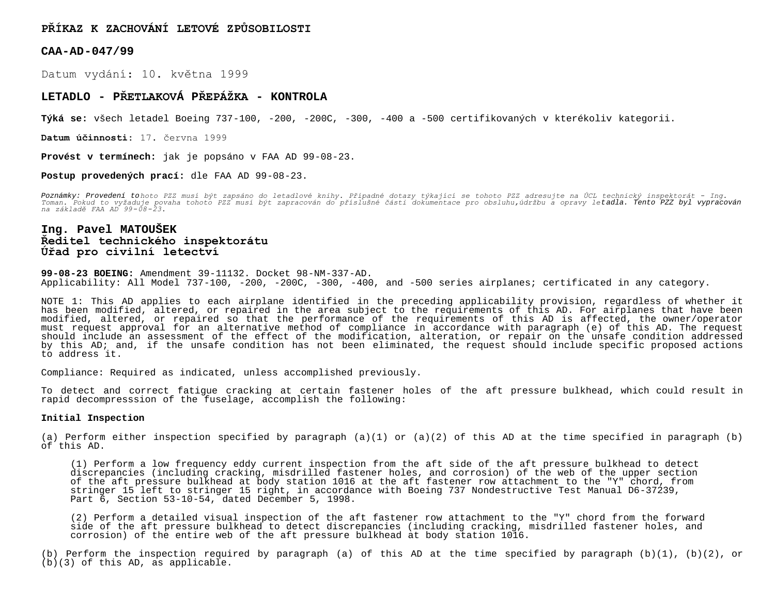**PŘÍKAZ K ZACHOVÁNÍ LETOVÉ ZPŮSOBILOSTI**

**CAA-AD-047/99**

Datum vydání: 10. května 1999

# **LETADLO - PŘETLAKOVÁ PŘEPÁŽKA - KONTROLA**

**Týká se:** všech letadel Boeing 737-100, -200, -200C, -300, -400 a -500 certifikovaných v kterékoliv kategorii.

**Datum účinnosti:** 17. června 1999

**Provést v termínech:** jak je popsáno v FAA AD 99-08-23.

**Postup provedených prací:** dle FAA AD 99-08-23.

Poznámky: Provedení tohoto PZZ musí být zapsáno do letadlové knihy. Případné dotazy týkající se tohoto PZZ adresujte na ÚCL technický inspektorát – Ing.<br>Toman. Pokud to vyžaduje povaha tohoto PZZ musí být zapracován do pří *na základě FAA AD 99-08-23.*

# **Ing. Pavel MATOUŠEK Ředitel technického inspektorátu Úřad pro civilní letectví**

**99-08-23 BOEING:** Amendment 39-11132. Docket 98-NM-337-AD. Applicability: All Model 737-100, -200, -200C, -300, -400, and -500 series airplanes; certificated in any category.

NOTE 1: This AD applies to each airplane identified in the preceding applicability provision, regardless of whether it has been modified, altered, or repaired in the area subject to the requirements of this AD. For airplanes that have been modified, altered, or repaired so that the performance of the requirements of this AD is affected, the owner/operator must request approval for an alternative method of compliance in accordance with paragraph (e) of this AD. The request should include an assessment of the effect of the modification, alteration, or repair on the unsafe condition addressed by this AD; and, if the unsafe condition has not been eliminated, the request should include specific proposed actions to address it.

Compliance: Required as indicated, unless accomplished previously.

To detect and correct fatigue cracking at certain fastener holes of the aft pressure bulkhead, which could result in rapid decompresssion of the fuselage, accomplish the following:

## **Initial Inspection**

(a) Perform either inspection specified by paragraph (a)(1) or (a)(2) of this AD at the time specified in paragraph (b) of this AD.

(1) Perform a low frequency eddy current inspection from the aft side of the aft pressure bulkhead to detect discrepancies (including cracking, misdrilled fastener holes, and corrosion) of the web of the upper section of the aft pressure bulkhead at body station 1016 at the aft fastener row attachment to the "Y" chord, from stringer 15 left to stringer 15 right, in accordance with Boeing 737 Nondestructive Test Manual D6-37239, Part 6, Section 53-10-54, dated December 5, 1998.

(2) Perform a detailed visual inspection of the aft fastener row attachment to the "Y" chord from the forward side of the aft pressure bulkhead to detect discrepancies (including cracking, misdrilled fastener holes, and corrosion) of the entire web of the aft pressure bulkhead at body station 1016.

(b) Perform the inspection required by paragraph (a) of this AD at the time specified by paragraph  $(b)(1)$ ,  $(b)(2)$ , or (b)(3) of this AD, as applicable.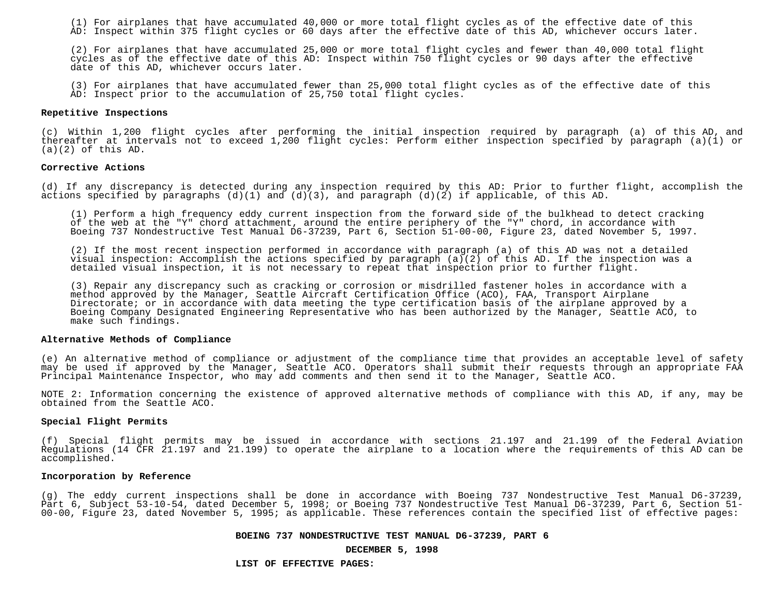(1) For airplanes that have accumulated 40,000 or more total flight cycles as of the effective date of this AD: Inspect within 375 flight cycles or 60 days after the effective date of this AD, whichever occurs later.

(2) For airplanes that have accumulated 25,000 or more total flight cycles and fewer than 40,000 total flight cycles as of the effective date of this AD: Inspect within 750 flight cycles or 90 days after the effective date of this AD, whichever occurs later.

(3) For airplanes that have accumulated fewer than 25,000 total flight cycles as of the effective date of this AD: Inspect prior to the accumulation of 25,750 total flight cycles.

#### **Repetitive Inspections**

(c) Within 1,200 flight cycles after performing the initial inspection required by paragraph (a) of this AD, and thereafter at intervals not to exceed 1,200 flight cycles: Perform either inspection specified by paragraph (a)(1) or  $(a)(2)$  of this AD.

### **Corrective Actions**

(d) If any discrepancy is detected during any inspection required by this AD: Prior to further flight, accomplish the actions specified by paragraphs  $(d)(1)$  and  $(d)(3)$ , and paragraph  $(d)(2)$  if applicable, of this AD.

(1) Perform a high frequency eddy current inspection from the forward side of the bulkhead to detect cracking of the web at the "Y" chord attachment, around the entire periphery of the "Y" chord, in accordance with Boeing 737 Nondestructive Test Manual D6-37239, Part 6, Section 51-00-00, Figure 23, dated November 5, 1997.

(2) If the most recent inspection performed in accordance with paragraph (a) of this AD was not a detailed visual inspection: Accomplish the actions specified by paragraph (a)(2) of this AD. If the inspection was a detailed visual inspection, it is not necessary to repeat that inspection prior to further flight.

(3) Repair any discrepancy such as cracking or corrosion or misdrilled fastener holes in accordance with a method approved by the Manager, Seattle Aircraft Certification Office (ACO), FAA, Transport Airplane Directorate; or in accordance with data meeting the type certification basis of the airplane approved by a Boeing Company Designated Engineering Representative who has been authorized by the Manager, Seattle ACO, to make such findings.

#### **Alternative Methods of Compliance**

(e) An alternative method of compliance or adjustment of the compliance time that provides an acceptable level of safety may be used if approved by the Manager, Seattle ACO. Operators shall submit their requests through an appropriate FAA Principal Maintenance Inspector, who may add comments and then send it to the Manager, Seattle ACO.

NOTE 2: Information concerning the existence of approved alternative methods of compliance with this AD, if any, may be obtained from the Seattle ACO.

### **Special Flight Permits**

(f) Special flight permits may be issued in accordance with sections 21.197 and 21.199 of the Federal Aviation Regulations (14 CFR 21.197 and 21.199) to operate the airplane to a location where the requirements of this AD can be accomplished.

# **Incorporation by Reference**

(g) The eddy current inspections shall be done in accordance with Boeing 737 Nondestructive Test Manual D6-37239, Part 6, Subject 53-10-54, dated December 5, 1998; or Boeing 737 Nondestructive Test Manual D6-37239, Part 6, Section 51- 00-00, Figure 23, dated November 5, 1995; as applicable. These references contain the specified list of effective pages:

#### **BOEING 737 NONDESTRUCTIVE TEST MANUAL D6-37239, PART 6**

#### **DECEMBER 5, 1998**

**LIST OF EFFECTIVE PAGES:**